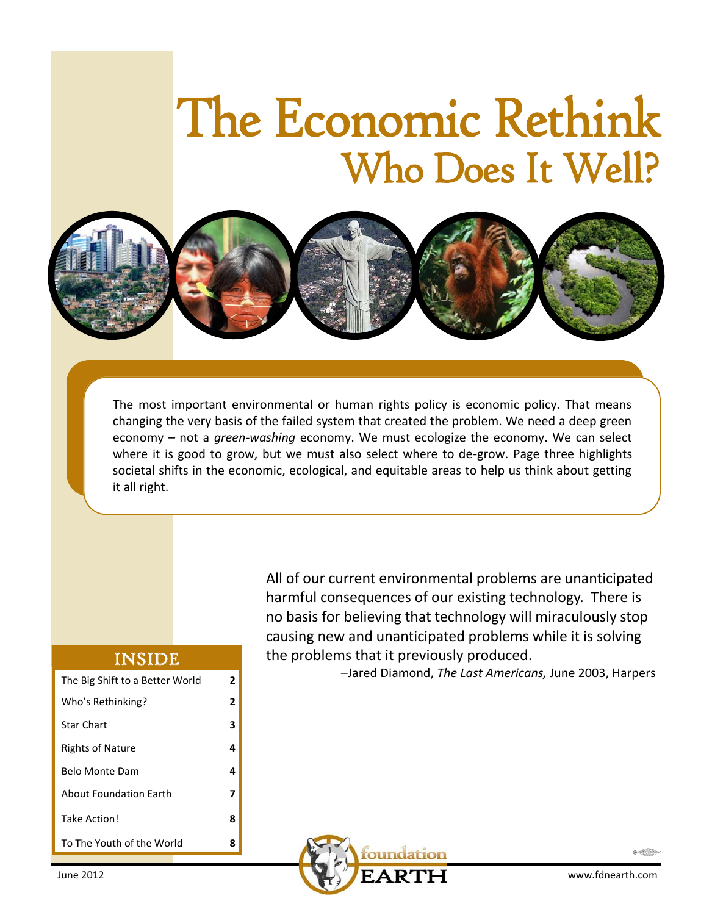# The Economic Rethink Who Does It Well?



The most important environmental or human rights policy is economic policy. That means changing the very basis of the failed system that created the problem. We need a deep green economy – not a *green-washing* economy. We must ecologize the economy. We can select where it is good to grow, but we must also select where to de-grow. Page three highlights societal shifts in the economic, ecological, and equitable areas to help us think about getting it all right.

#### INSIDE

| The Big Shift to a Better World | 2 |
|---------------------------------|---|
| Who's Rethinking?               | 2 |
| <b>Star Chart</b>               | з |
| <b>Rights of Nature</b>         | 4 |
| Belo Monte Dam                  | 4 |
| <b>About Foundation Earth</b>   |   |
| Take Action!                    | 8 |
| To The Youth of the World       | x |

All of our current environmental problems are unanticipated harmful consequences of our existing technology. There is no basis for believing that technology will miraculously stop causing new and unanticipated problems while it is solving the problems that it previously produced.

–Jared Diamond, *The Last Americans,* June 2003, Harpers



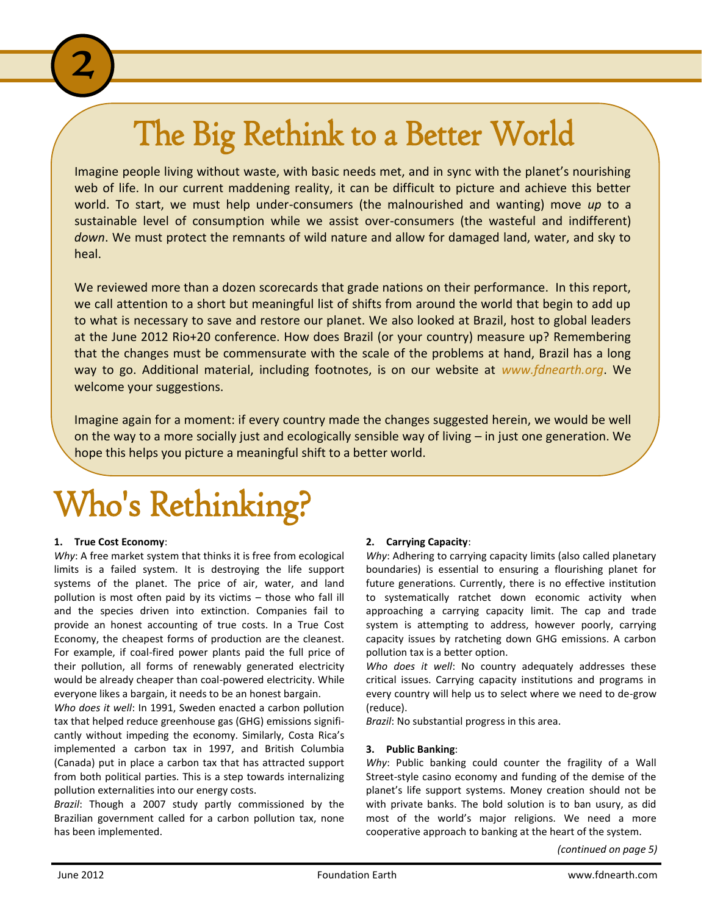### The Big Rethink to a Better World

Imagine people living without waste, with basic needs met, and in sync with the planet's nourishing web of life. In our current maddening reality, it can be difficult to picture and achieve this better world. To start, we must help under-consumers (the malnourished and wanting) move *up* to a sustainable level of consumption while we assist over-consumers (the wasteful and indifferent) *down*. We must protect the remnants of wild nature and allow for damaged land, water, and sky to heal.

We reviewed more than a dozen scorecards that grade nations on their performance. In this report, we call attention to a short but meaningful list of shifts from around the world that begin to add up to what is necessary to save and restore our planet. We also looked at Brazil, host to global leaders at the June 2012 Rio+20 conference. How does Brazil (or your country) measure up? Remembering that the changes must be commensurate with the scale of the problems at hand, Brazil has a long way to go. Additional material, including footnotes, is on our website at *www.fdnearth.org*. We welcome your suggestions.

Imagine again for a moment: if every country made the changes suggested herein, we would be well on the way to a more socially just and ecologically sensible way of living – in just one generation. We hope this helps you picture a meaningful shift to a better world.

## Who's Rethinking?

#### **1. True Cost Economy**:

2

*Why*: A free market system that thinks it is free from ecological limits is a failed system. It is destroying the life support systems of the planet. The price of air, water, and land pollution is most often paid by its victims – those who fall ill and the species driven into extinction. Companies fail to provide an honest accounting of true costs. In a True Cost Economy, the cheapest forms of production are the cleanest. For example, if coal-fired power plants paid the full price of their pollution, all forms of renewably generated electricity would be already cheaper than coal-powered electricity. While everyone likes a bargain, it needs to be an honest bargain.

*Who does it well*: In 1991, Sweden enacted a carbon pollution tax that helped reduce greenhouse gas (GHG) emissions significantly without impeding the economy. Similarly, Costa Rica's implemented a carbon tax in 1997, and British Columbia (Canada) put in place a carbon tax that has attracted support from both political parties. This is a step towards internalizing pollution externalities into our energy costs.

*Brazil*: Though a 2007 study partly commissioned by the Brazilian government called for a carbon pollution tax, none has been implemented.

#### **2. Carrying Capacity**:

*Why*: Adhering to carrying capacity limits (also called planetary boundaries) is essential to ensuring a flourishing planet for future generations. Currently, there is no effective institution to systematically ratchet down economic activity when approaching a carrying capacity limit. The cap and trade system is attempting to address, however poorly, carrying capacity issues by ratcheting down GHG emissions. A carbon pollution tax is a better option.

*Who does it well*: No country adequately addresses these critical issues. Carrying capacity institutions and programs in every country will help us to select where we need to de-grow (reduce).

*Brazil*: No substantial progress in this area.

#### **3. Public Banking**:

*Why*: Public banking could counter the fragility of a Wall Street-style casino economy and funding of the demise of the planet's life support systems. Money creation should not be with private banks. The bold solution is to ban usury, as did most of the world's major religions. We need a more cooperative approach to banking at the heart of the system.

*(continued on page 5)*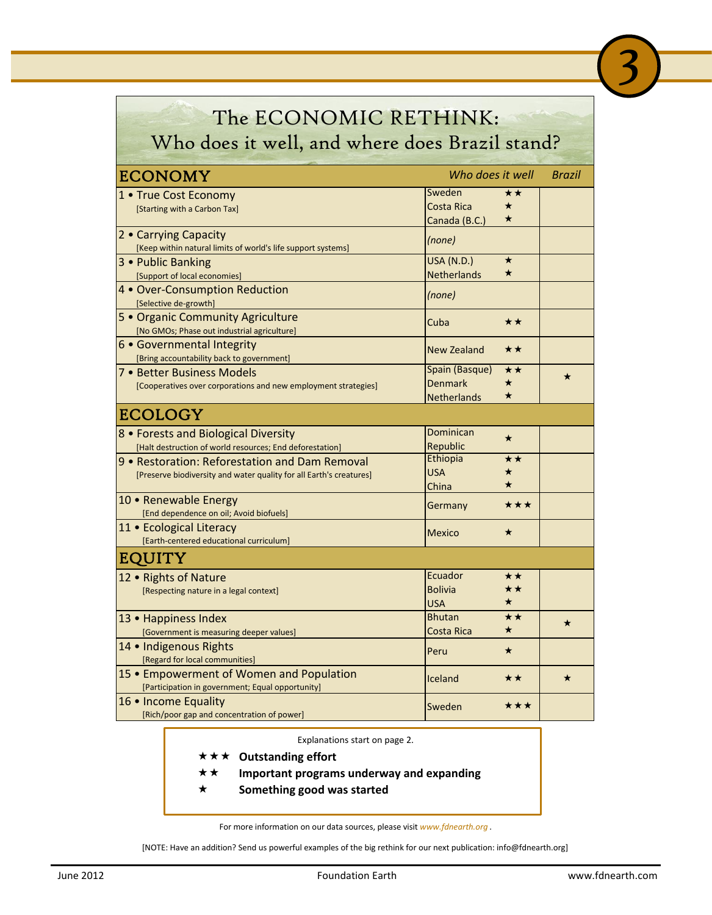| The ECONOMIC RETHINK:                                                                                                 |                                                                                              |               |  |
|-----------------------------------------------------------------------------------------------------------------------|----------------------------------------------------------------------------------------------|---------------|--|
| Who does it well, and where does Brazil stand?                                                                        |                                                                                              |               |  |
| <b>ECONOMY</b>                                                                                                        | Who does it well                                                                             | <b>Brazil</b> |  |
| 1 • True Cost Economy<br>[Starting with a Carbon Tax]                                                                 | Sweden<br>**<br><b>Costa Rica</b><br>$\star$<br>$\star$<br>Canada (B.C.)                     |               |  |
| 2 • Carrying Capacity<br>[Keep within natural limits of world's life support systems]                                 | (none)                                                                                       |               |  |
| 3 • Public Banking<br>[Support of local economies]                                                                    | <b>USA (N.D.)</b><br>$\star$<br><b>Netherlands</b><br>$\star$                                |               |  |
| 4 • Over-Consumption Reduction<br>[Selective de-growth]                                                               | (none)                                                                                       |               |  |
| 5 . Organic Community Agriculture<br>[No GMOs; Phase out industrial agriculture]                                      | Cuba<br>★★                                                                                   |               |  |
| 6 • Governmental Integrity<br>[Bring accountability back to government]                                               | New Zealand<br>★★                                                                            |               |  |
| 7 • Better Business Models<br>[Cooperatives over corporations and new employment strategies]                          | Spain (Basque)<br>$\star\star$<br><b>Denmark</b><br>$\star$<br>$\star$<br><b>Netherlands</b> | ★             |  |
| <b>ECOLOGY</b>                                                                                                        |                                                                                              |               |  |
| 8 • Forests and Biological Diversity<br>[Halt destruction of world resources; End deforestation]                      | <b>Dominican</b><br>$\star$<br>Republic                                                      |               |  |
| 9 • Restoration: Reforestation and Dam Removal<br>[Preserve biodiversity and water quality for all Earth's creatures] | Ethiopia<br>$\star\star$<br><b>USA</b><br>$\star$<br>China                                   |               |  |
| 10 • Renewable Energy<br>[End dependence on oil; Avoid biofuels]                                                      | ★★★<br>Germany                                                                               |               |  |
| 11 • Ecological Literacy<br>[Earth-centered educational curriculum]                                                   | <b>Mexico</b><br>$\star$                                                                     |               |  |
| EQUITY                                                                                                                |                                                                                              |               |  |
| 12 . Rights of Nature<br>[Respecting nature in a legal context]                                                       | Ecuador<br>**<br><b>Bolivia</b><br>★★<br>USA<br>×                                            |               |  |
| 13 • Happiness Index<br>[Government is measuring deeper values]                                                       | ★★<br>Bhutan<br>$\star$<br>Costa Rica                                                        | $\star$       |  |
| 14 • Indigenous Rights<br>[Regard for local communities]                                                              | $\star$<br>Peru                                                                              |               |  |
| 15 • Empowerment of Women and Population<br>[Participation in government; Equal opportunity]                          | $\star\star$<br>Iceland                                                                      | $\star$       |  |
| 16 • Income Equality<br>[Rich/poor gap and concentration of power]                                                    | ★★★<br>Sweden                                                                                |               |  |

Explanations start on page 2.

- **★★★** Outstanding effort
- **Important programs underway and expanding**
- **Something good was started**

For more information on our data sources, please visit *www.fdnearth.org* .

[NOTE: Have an addition? Send us powerful examples of the big rethink for our next publication: info@fdnearth.org]

3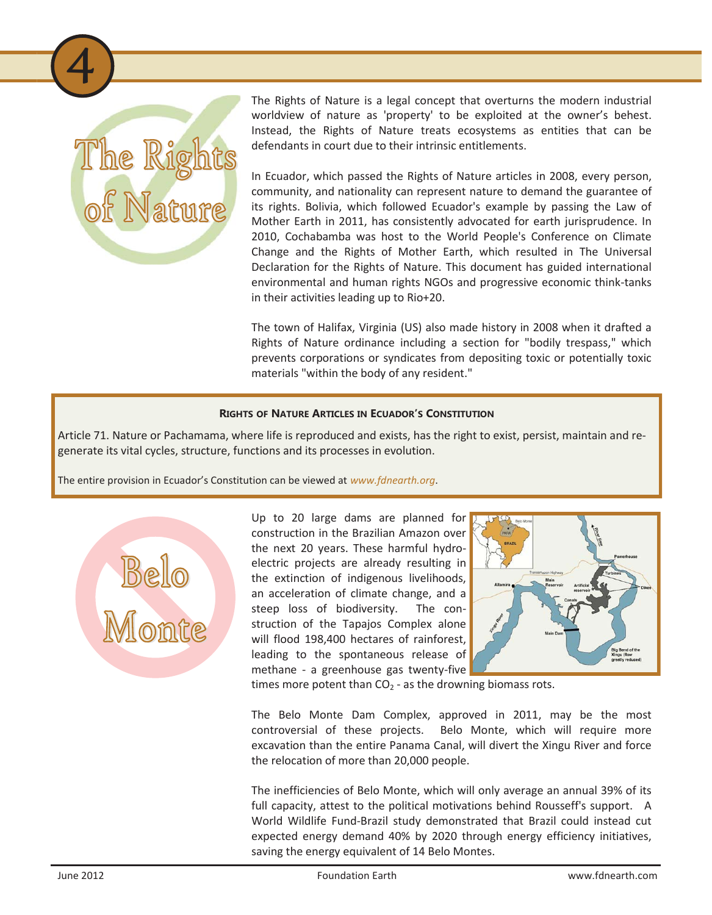

4

The Rights of Nature is a legal concept that overturns the modern industrial worldview of nature as 'property' to be exploited at the owner's behest. Instead, the Rights of Nature treats ecosystems as entities that can be defendants in court due to their intrinsic entitlements.

In Ecuador, which passed the Rights of Nature articles in 2008, every person, community, and nationality can represent nature to demand the guarantee of its rights. Bolivia, which followed Ecuador's example by passing the Law of Mother Earth in 2011, has consistently advocated for earth jurisprudence. In 2010, Cochabamba was host to the World People's Conference on Climate Change and the Rights of Mother Earth, which resulted in The Universal Declaration for the Rights of Nature. This document has guided international environmental and human rights NGOs and progressive economic think-tanks in their activities leading up to Rio+20.

The town of Halifax, Virginia (US) also made history in 2008 when it drafted a Rights of Nature ordinance including a section for "bodily trespass," which prevents corporations or syndicates from depositing toxic or potentially toxic materials "within the body of any resident."

#### **RIGHTS OF NATURE ARTICLES IN ECUADOR'S CONSTITUTION**

Article 71. Nature or Pachamama, where life is reproduced and exists, has the right to exist, persist, maintain and regenerate its vital cycles, structure, functions and its processes in evolution.

The entire provision in Ecuador's Constitution can be viewed at *www.fdnearth.org*.



Up to 20 large dams are planned for construction in the Brazilian Amazon over the next 20 years. These harmful hydroelectric projects are already resulting in the extinction of indigenous livelihoods, an acceleration of climate change, and a steep loss of biodiversity. The construction of the Tapajos Complex alone will flood 198,400 hectares of rainforest, leading to the spontaneous release of methane - a greenhouse gas twenty-five



times more potent than  $CO<sub>2</sub>$  - as the drowning biomass rots.

The Belo Monte Dam Complex, approved in 2011, may be the most controversial of these projects. Belo Monte, which will require more excavation than the entire Panama Canal, will divert the Xingu River and force the relocation of more than 20,000 people.

The inefficiencies of Belo Monte, which will only average an annual 39% of its full capacity, attest to the political motivations behind Rousseff's support. A World Wildlife Fund-Brazil study demonstrated that Brazil could instead cut expected energy demand 40% by 2020 through energy efficiency initiatives, saving the energy equivalent of 14 Belo Montes.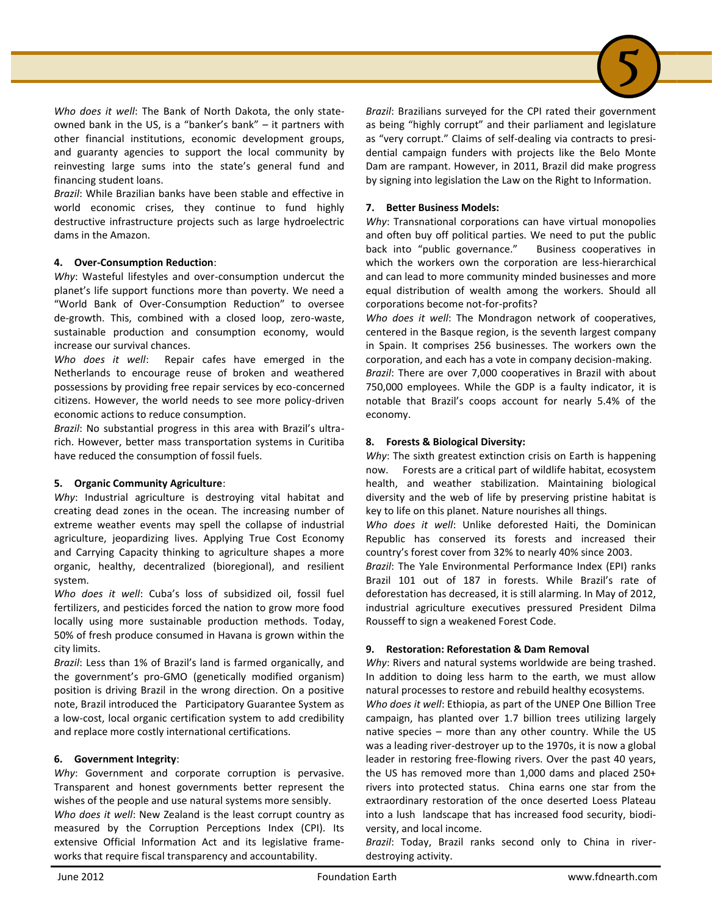

*Brazil*: While Brazilian banks have been stable and effective in world economic crises, they continue to fund highly destructive infrastructure projects such as large hydroelectric dams in the Amazon.

#### **4. Over-Consumption Reduction**:

*Why*: Wasteful lifestyles and over-consumption undercut the planet's life support functions more than poverty. We need a "World Bank of Over-Consumption Reduction" to oversee de-growth. This, combined with a closed loop, zero-waste, sustainable production and consumption economy, would increase our survival chances.

*Who does it well*: Repair cafes have emerged in the Netherlands to encourage reuse of broken and weathered possessions by providing free repair services by eco-concerned citizens. However, the world needs to see more policy-driven economic actions to reduce consumption.

*Brazil*: No substantial progress in this area with Brazil's ultrarich. However, better mass transportation systems in Curitiba have reduced the consumption of fossil fuels.

#### **5. Organic Community Agriculture**:

*Why*: Industrial agriculture is destroying vital habitat and creating dead zones in the ocean. The increasing number of extreme weather events may spell the collapse of industrial agriculture, jeopardizing lives. Applying True Cost Economy and Carrying Capacity thinking to agriculture shapes a more organic, healthy, decentralized (bioregional), and resilient system.

*Who does it well*: Cuba's loss of subsidized oil, fossil fuel fertilizers, and pesticides forced the nation to grow more food locally using more sustainable production methods. Today, 50% of fresh produce consumed in Havana is grown within the city limits.

*Brazil*: Less than 1% of Brazil's land is farmed organically, and the government's pro-GMO (genetically modified organism) position is driving Brazil in the wrong direction. On a positive note, Brazil introduced the Participatory Guarantee System as a low-cost, local organic certification system to add credibility and replace more costly international certifications.

#### **6. Government Integrity**:

*Why*: Government and corporate corruption is pervasive. Transparent and honest governments better represent the wishes of the people and use natural systems more sensibly.

*Who does it well*: New Zealand is the least corrupt country as measured by the Corruption Perceptions Index (CPI). Its extensive Official Information Act and its legislative frameworks that require fiscal transparency and accountability.

*Brazil*: Brazilians surveyed for the CPI rated their government as being "highly corrupt" and their parliament and legislature as "very corrupt." Claims of self-dealing via contracts to presidential campaign funders with projects like the Belo Monte Dam are rampant. However, in 2011, Brazil did make progress by signing into legislation the Law on the Right to Information.

5

#### **7. Better Business Models:**

*Why*: Transnational corporations can have virtual monopolies and often buy off political parties. We need to put the public back into "public governance." Business cooperatives in which the workers own the corporation are less-hierarchical and can lead to more community minded businesses and more equal distribution of wealth among the workers. Should all corporations become not-for-profits?

*Who does it well*: The Mondragon network of cooperatives, centered in the Basque region, is the seventh largest company in Spain. It comprises 256 businesses. The workers own the corporation, and each has a vote in company decision-making. *Brazil*: There are over 7,000 cooperatives in Brazil with about 750,000 employees. While the GDP is a faulty indicator, it is notable that Brazil's coops account for nearly 5.4% of the economy.

#### **8. Forests & Biological Diversity:**

*Why*: The sixth greatest extinction crisis on Earth is happening now. Forests are a critical part of wildlife habitat, ecosystem health, and weather stabilization. Maintaining biological diversity and the web of life by preserving pristine habitat is key to life on this planet. Nature nourishes all things.

*Who does it well*: Unlike deforested Haiti, the Dominican Republic has conserved its forests and increased their country's forest cover from 32% to nearly 40% since 2003.

*Brazil*: The Yale Environmental Performance Index (EPI) ranks Brazil 101 out of 187 in forests. While Brazil's rate of deforestation has decreased, it is still alarming. In May of 2012, industrial agriculture executives pressured President Dilma Rousseff to sign a weakened Forest Code.

#### **9. Restoration: Reforestation & Dam Removal**

*Why*: Rivers and natural systems worldwide are being trashed. In addition to doing less harm to the earth, we must allow natural processes to restore and rebuild healthy ecosystems.

*Who does it well*: Ethiopia, as part of the UNEP One Billion Tree campaign, has planted over 1.7 billion trees utilizing largely native species – more than any other country. While the US was a leading river-destroyer up to the 1970s, it is now a global leader in restoring free-flowing rivers. Over the past 40 years, the US has removed more than 1,000 dams and placed 250+ rivers into protected status. China earns one star from the extraordinary restoration of the once deserted Loess Plateau into a lush landscape that has increased food security, biodiversity, and local income.

*Brazil*: Today, Brazil ranks second only to China in riverdestroying activity.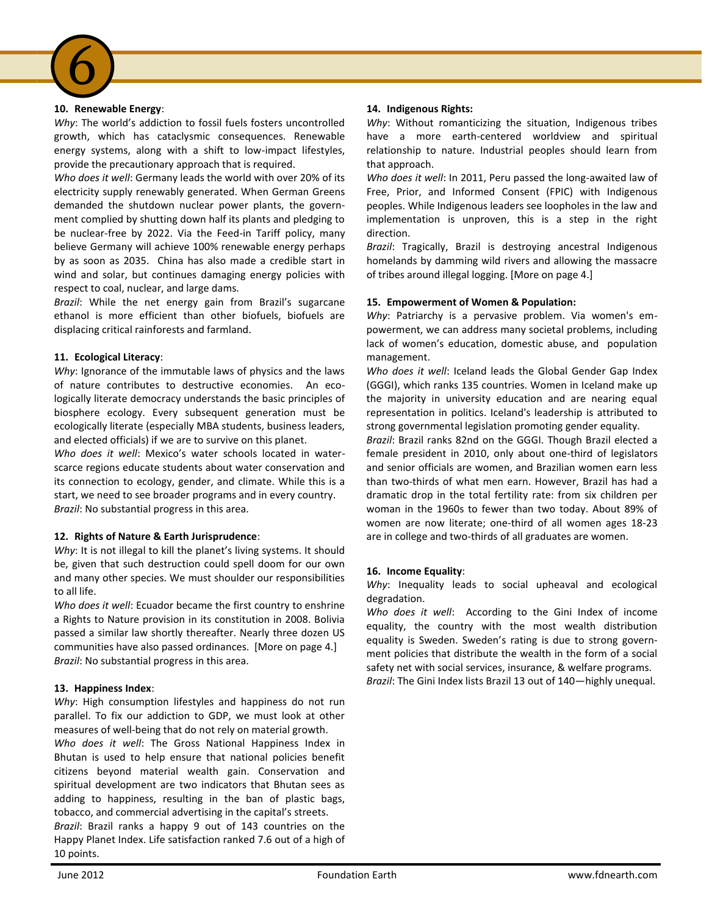#### **10. Renewable Energy**:

6

*Why*: The world's addiction to fossil fuels fosters uncontrolled growth, which has cataclysmic consequences. Renewable energy systems, along with a shift to low-impact lifestyles, provide the precautionary approach that is required.

*Who does it well*: Germany leads the world with over 20% of its electricity supply renewably generated. When German Greens demanded the shutdown nuclear power plants, the government complied by shutting down half its plants and pledging to be nuclear-free by 2022. Via the Feed-in Tariff policy, many believe Germany will achieve 100% renewable energy perhaps by as soon as 2035. China has also made a credible start in wind and solar, but continues damaging energy policies with respect to coal, nuclear, and large dams.

*Brazil*: While the net energy gain from Brazil's sugarcane ethanol is more efficient than other biofuels, biofuels are displacing critical rainforests and farmland.

#### **11. Ecological Literacy**:

*Why*: Ignorance of the immutable laws of physics and the laws of nature contributes to destructive economies. An ecologically literate democracy understands the basic principles of biosphere ecology. Every subsequent generation must be ecologically literate (especially MBA students, business leaders, and elected officials) if we are to survive on this planet.

*Who does it well*: Mexico's water schools located in waterscarce regions educate students about water conservation and its connection to ecology, gender, and climate. While this is a start, we need to see broader programs and in every country. *Brazil*: No substantial progress in this area.

#### **12. Rights of Nature & Earth Jurisprudence**:

Why: It is not illegal to kill the planet's living systems. It should be, given that such destruction could spell doom for our own and many other species. We must shoulder our responsibilities to all life.

*Who does it well*: Ecuador became the first country to enshrine a Rights to Nature provision in its constitution in 2008. Bolivia passed a similar law shortly thereafter. Nearly three dozen US communities have also passed ordinances. [More on page 4.] *Brazil*: No substantial progress in this area.

#### **13. Happiness Index**:

*Why*: High consumption lifestyles and happiness do not run parallel. To fix our addiction to GDP, we must look at other measures of well-being that do not rely on material growth.

*Who does it well*: The Gross National Happiness Index in Bhutan is used to help ensure that national policies benefit citizens beyond material wealth gain. Conservation and spiritual development are two indicators that Bhutan sees as adding to happiness, resulting in the ban of plastic bags, tobacco, and commercial advertising in the capital's streets.

*Brazil*: Brazil ranks a happy 9 out of 143 countries on the Happy Planet Index. Life satisfaction ranked 7.6 out of a high of 10 points.

#### **14. Indigenous Rights:**

*Why*: Without romanticizing the situation, Indigenous tribes have a more earth-centered worldview and spiritual relationship to nature. Industrial peoples should learn from that approach.

*Who does it well*: In 2011, Peru passed the long-awaited law of Free, Prior, and Informed Consent (FPIC) with Indigenous peoples. While Indigenous leaders see loopholes in the law and implementation is unproven, this is a step in the right direction.

*Brazil*: Tragically, Brazil is destroying ancestral Indigenous homelands by damming wild rivers and allowing the massacre of tribes around illegal logging. [More on page 4.]

#### **15. Empowerment of Women & Population:**

*Why*: Patriarchy is a pervasive problem. Via women's empowerment, we can address many societal problems, including lack of women's education, domestic abuse, and population management.

*Who does it well*: Iceland leads the Global Gender Gap Index (GGGI), which ranks 135 countries. Women in Iceland make up the majority in university education and are nearing equal representation in politics. Iceland's leadership is attributed to strong governmental legislation promoting gender equality.

*Brazil*: Brazil ranks 82nd on the GGGI. Though Brazil elected a female president in 2010, only about one-third of legislators and senior officials are women, and Brazilian women earn less than two-thirds of what men earn. However, Brazil has had a dramatic drop in the total fertility rate: from six children per woman in the 1960s to fewer than two today. About 89% of women are now literate; one-third of all women ages 18-23 are in college and two-thirds of all graduates are women.

#### **16. Income Equality**:

*Why*: Inequality leads to social upheaval and ecological degradation.

*Who does it well*: According to the Gini Index of income equality, the country with the most wealth distribution equality is Sweden. Sweden's rating is due to strong government policies that distribute the wealth in the form of a social safety net with social services, insurance, & welfare programs. *Brazil*: The Gini Index lists Brazil 13 out of 140—highly unequal.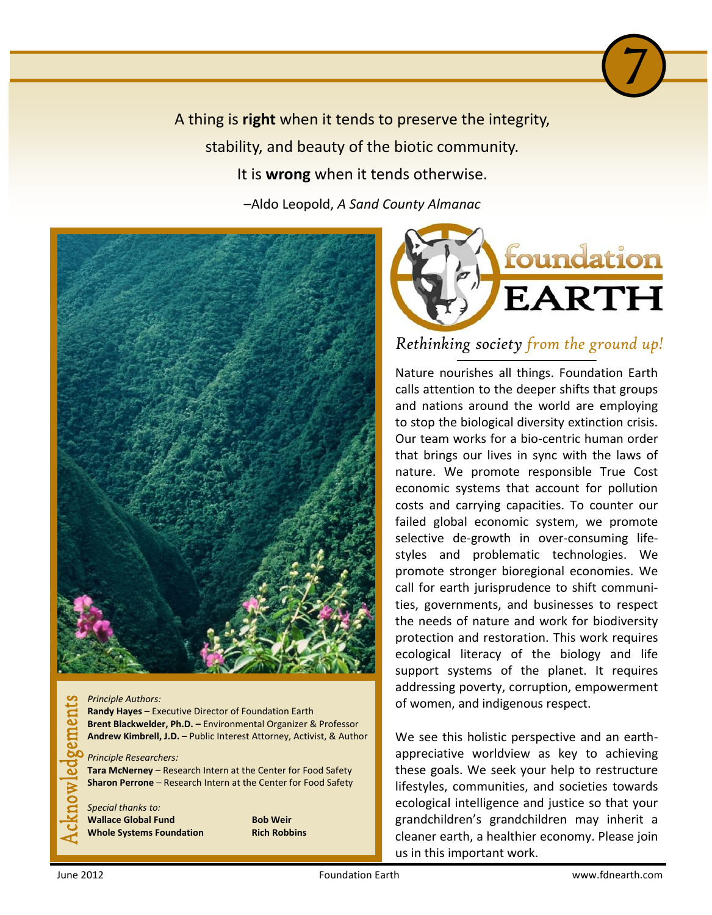A thing is **right** when it tends to preserve the integrity, stability, and beauty of the biotic community. It is **wrong** when it tends otherwise. –Aldo Leopold, *A Sand County Almanac* 



### *Principle Authors:*  gements

**Randy Hayes** – Executive Director of Foundation Earth **Brent Blackwelder, Ph.D. –** Environmental Organizer & Professor **Andrew Kimbrell, J.D.** – Public Interest Attorney, Activist, & Author

*Principle Researchers:* 

**Tara McNerney** – Research Intern at the Center for Food Safety **Sharon Perrone** – Research Intern at the Center for Food Safety

*Special thanks to:*  **Wallace Global Fund Bob Weir Whole Systems Foundation Rich Robbins** 



7)

*Rethinking society from the ground up!*

Nature nourishes all things. Foundation Earth calls attention to the deeper shifts that groups and nations around the world are employing to stop the biological diversity extinction crisis. Our team works for a bio-centric human order that brings our lives in sync with the laws of nature. We promote responsible True Cost economic systems that account for pollution costs and carrying capacities. To counter our failed global economic system, we promote selective de-growth in over-consuming lifestyles and problematic technologies. We promote stronger bioregional economies. We call for earth jurisprudence to shift communities, governments, and businesses to respect the needs of nature and work for biodiversity protection and restoration. This work requires ecological literacy of the biology and life support systems of the planet. It requires addressing poverty, corruption, empowerment of women, and indigenous respect.

We see this holistic perspective and an earthappreciative worldview as key to achieving these goals. We seek your help to restructure lifestyles, communities, and societies towards ecological intelligence and justice so that your grandchildren's grandchildren may inherit a cleaner earth, a healthier economy. Please join us in this important work.

 ${\bf S}$